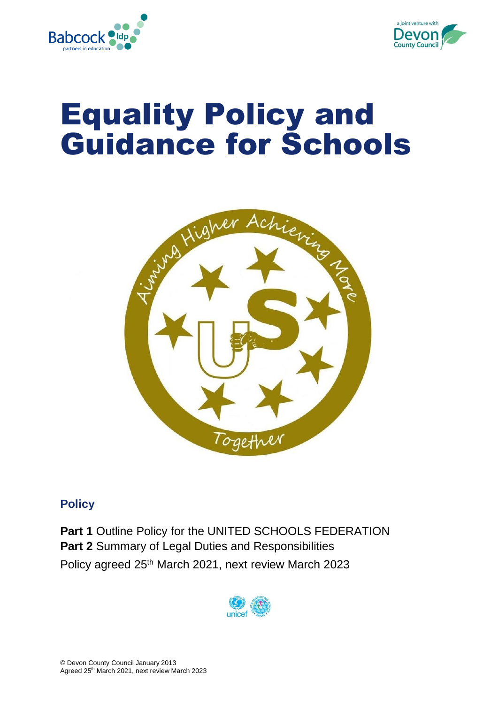



# Equality Policy and Guidance for Schools



#### **Policy**

**Part 1** Outline Policy for the UNITED SCHOOLS FEDERATION **Part 2** Summary of Legal Duties and Responsibilities Policy agreed 25th March 2021, next review March 2023

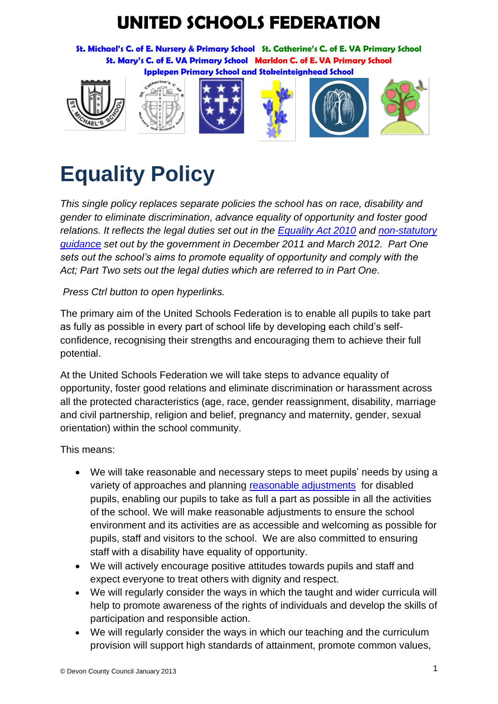## **UNITED SCHOOLS FEDERATION**

**St. Michael's C. of E. Nursery & Primary School St. Catherine's C. of E. VA Primary School St. Mary's C. of E. VA Primary School Marldon C. of E. VA Primary School Ipplepen Primary School and Stokeinteignhead School**



# **Equality Policy**

*This single policy replaces separate policies the school has on race, disability and gender to eliminate discrimination, advance equality of opportunity and foster good relations. It reflects the legal duties set out in the [Equality Act 2010](http://www.legislation.gov.uk/ukpga/2010/15/pdfs/ukpga_20100015_en.pdf) and [non-statutory](http://www.equalityhumanrights.com/uploaded_files/EqualityAct/PSED/public_sector_equality_duty_guidance_for_schools_in_england_final.pdf)  [guidance](http://www.equalityhumanrights.com/uploaded_files/EqualityAct/PSED/public_sector_equality_duty_guidance_for_schools_in_england_final.pdf) set out by the government in December 2011 and March 2012. Part One sets out the school's aims to promote equality of opportunity and comply with the Act; Part Two sets out the legal duties which are referred to in Part One.*

#### *Press Ctrl button to open hyperlinks.*

The primary aim of the United Schools Federation is to enable all pupils to take part as fully as possible in every part of school life by developing each child's selfconfidence, recognising their strengths and encouraging them to achieve their full potential.

At the United Schools Federation we will take steps to advance equality of opportunity, foster good relations and eliminate discrimination or harassment across all the protected characteristics (age, race, gender reassignment, disability, marriage and civil partnership, religion and belief, pregnancy and maternity, gender, sexual orientation) within the school community.

This means:

- We will take reasonable and necessary steps to meet pupils' needs by using a variety of approaches and planning [reasonable adjustments](#page-6-0) for disabled pupils, enabling our pupils to take as full a part as possible in all the activities of the school. We will make reasonable adjustments to ensure the school environment and its activities are as accessible and welcoming as possible for pupils, staff and visitors to the school. We are also committed to ensuring staff with a disability have equality of opportunity.
- We will actively encourage positive attitudes towards pupils and staff and expect everyone to treat others with dignity and respect.
- We will regularly consider the ways in which the taught and wider curricula will help to promote awareness of the rights of individuals and develop the skills of participation and responsible action.
- We will regularly consider the ways in which our teaching and the curriculum provision will support high standards of attainment, promote common values,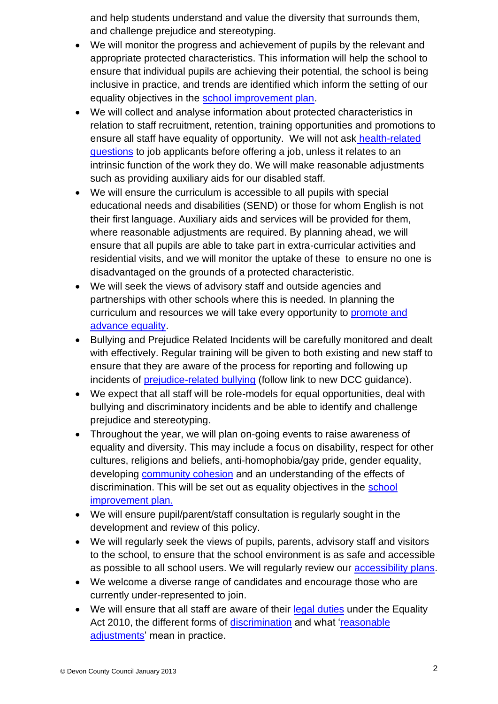and help students understand and value the diversity that surrounds them, and challenge prejudice and stereotyping.

- We will monitor the progress and achievement of pupils by the relevant and appropriate protected characteristics. This information will help the school to ensure that individual pupils are achieving their potential, the school is being inclusive in practice, and trends are identified which inform the setting of our equality objectives in the [school improvement plan.](#page-8-0)
- We will collect and analyse information about protected characteristics in relation to staff recruitment, retention, training opportunities and promotions to ensure all staff have equality of opportunity. We will not ask [health-related](#page-7-0)  [questions](#page-7-0) to job applicants before offering a job, unless it relates to an intrinsic function of the work they do. We will make reasonable adjustments such as providing auxiliary aids for our disabled staff.
- We will ensure the curriculum is accessible to all pupils with special educational needs and disabilities (SEND) or those for whom English is not their first language. Auxiliary aids and services will be provided for them, where reasonable adjustments are required. By planning ahead, we will ensure that all pupils are able to take part in extra-curricular activities and residential visits, and we will monitor the uptake of these to ensure no one is disadvantaged on the grounds of a protected characteristic.
- We will seek the views of advisory staff and outside agencies and partnerships with other schools where this is needed. In planning the curriculum and resources we will take every opportunity to [promote and](#page-8-0)  [advance equality.](#page-8-0)
- Bullying and Prejudice Related Incidents will be carefully monitored and dealt with effectively. Regular training will be given to both existing and new staff to ensure that they are aware of the process for reporting and following up incidents of [prejudice-related bullying](http://www.babcock-education.co.uk/ldp/view_folder.asp?folderid=125847&depth=1&rootid=125847&level1=&level1id=) (follow link to new DCC guidance).
- We expect that all staff will be role-models for equal opportunities, deal with bullying and discriminatory incidents and be able to identify and challenge prejudice and stereotyping.
- Throughout the year, we will plan on-going events to raise awareness of equality and diversity. This may include a focus on disability, respect for other cultures, religions and beliefs, anti-homophobia/gay pride, gender equality, developing [community cohesion](#page-8-1) and an understanding of the effects of discrimination. This will be set out as equality objectives in the [school](#page-8-0)  [improvement plan.](#page-8-0)
- We will ensure pupil/parent/staff consultation is regularly sought in the development and review of this policy.
- We will regularly seek the views of pupils, parents, advisory staff and visitors to the school, to ensure that the school environment is as safe and accessible as possible to all school users. We will regularly review our **accessibility plans**.
- We welcome a diverse range of candidates and encourage those who are currently under-represented to join.
- We will ensure that all staff are aware of their [legal duties](#page-4-0) under the Equality Act 2010, the different forms of [discrimination](#page-5-0) and what 'reasonable [adjustments'](#page-6-0) mean in practice.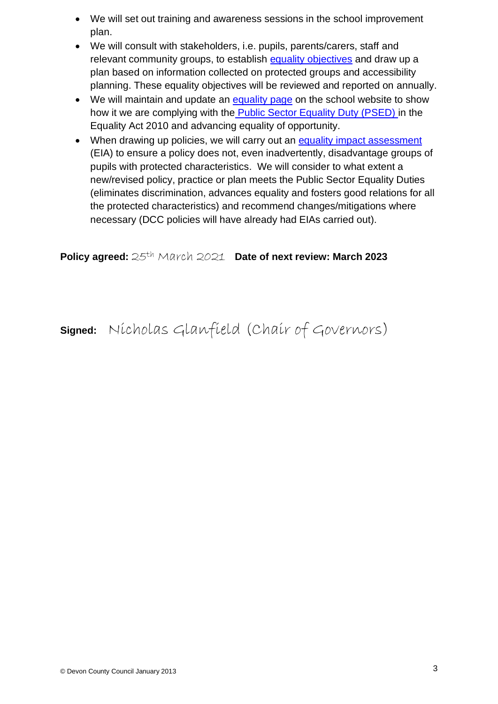- We will set out training and awareness sessions in the school improvement plan.
- We will consult with stakeholders, i.e. pupils, parents/carers, staff and relevant community groups, to establish [equality objectives](#page-6-0) and draw up a plan based on information collected on protected groups and accessibility planning. These equality objectives will be reviewed and reported on annually.
- We will maintain and update an [equality](#page-8-0) page on the school website to show how it we are complying with the [Public Sector Equality Duty \(PSED\) i](#page-5-1)n the Equality Act 2010 and advancing equality of opportunity.
- When drawing up policies, we will carry out an [equality impact assessment](http://www.devon.gov.uk/impact) (EIA) to ensure a policy does not, even inadvertently, disadvantage groups of pupils with protected characteristics. We will consider to what extent a new/revised policy, practice or plan meets the Public Sector Equality Duties (eliminates discrimination, advances equality and fosters good relations for all the protected characteristics) and recommend changes/mitigations where necessary (DCC policies will have already had EIAs carried out).

**Policy agreed:** 25th March 2021 **Date of next review: March 2023**

**Signed:** Nicholas Glanfield (Chair of Governors)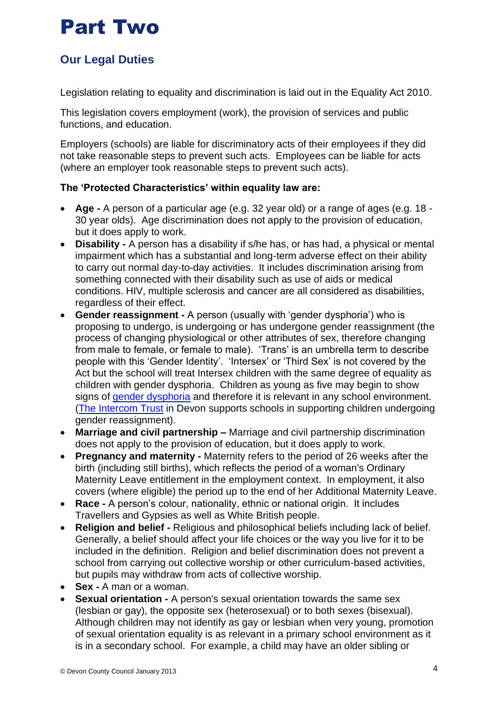## Part Two

### <span id="page-4-0"></span>**Our Legal Duties**

Legislation relating to equality and discrimination is laid out in the Equality Act 2010.

This legislation covers employment (work), the provision of services and public functions, and education.

Employers (schools) are liable for discriminatory acts of their employees if they did not take reasonable steps to prevent such acts. Employees can be liable for acts (where an employer took reasonable steps to prevent such acts).

#### **The 'Protected Characteristics' within equality law are:**

- **Age -** A person of a particular age (e.g. 32 year old) or a range of ages (e.g. 18 30 year olds). Age discrimination does not apply to the provision of education, but it does apply to work.
- **Disability -** A person has a disability if s/he has, or has had, a physical or mental impairment which has a substantial and long-term adverse effect on their ability to carry out normal day-to-day activities. It includes discrimination arising from something connected with their disability such as use of aids or medical conditions. HIV, multiple sclerosis and cancer are all considered as disabilities, regardless of their effect.
- **Gender reassignment -** A person (usually with 'gender dysphoria') who is proposing to undergo, is undergoing or has undergone gender reassignment (the process of changing physiological or other attributes of sex, therefore changing from male to female, or female to male). 'Trans' is an umbrella term to describe people with this 'Gender Identity'. 'Intersex' or 'Third Sex' is not covered by the Act but the school will treat Intersex children with the same degree of equality as children with gender dysphoria. Children as young as five may begin to show signs of [gender dysphoria](#page-8-1) and therefore it is relevant in any school environment. [\(The Intercom Trust](http://www.intercomtrust.org.uk/portal.htm) in Devon supports schools in supporting children undergoing gender reassignment).
- **Marriage and civil partnership –** Marriage and civil partnership discrimination does not apply to the provision of education, but it does apply to work.
- **Pregnancy and maternity -** Maternity refers to the period of 26 weeks after the birth (including still births), which reflects the period of a woman's Ordinary Maternity Leave entitlement in the employment context. In employment, it also covers (where eligible) the period up to the end of her Additional Maternity Leave.
- **Race -** A person's colour, nationality, ethnic or national origin. It includes Travellers and Gypsies as well as White British people.
- **Religion and belief -** Religious and philosophical beliefs including lack of belief. Generally, a belief should affect your life choices or the way you live for it to be included in the definition. Religion and belief discrimination does not prevent a school from carrying out collective worship or other curriculum-based activities, but pupils may withdraw from acts of collective worship.
- **Sex -** A man or a woman.
- **Sexual orientation -** A person's sexual orientation towards the same sex (lesbian or gay), the opposite sex (heterosexual) or to both sexes (bisexual). Although children may not identify as gay or lesbian when very young, promotion of sexual orientation equality is as relevant in a primary school environment as it is in a secondary school. For example, a child may have an older sibling or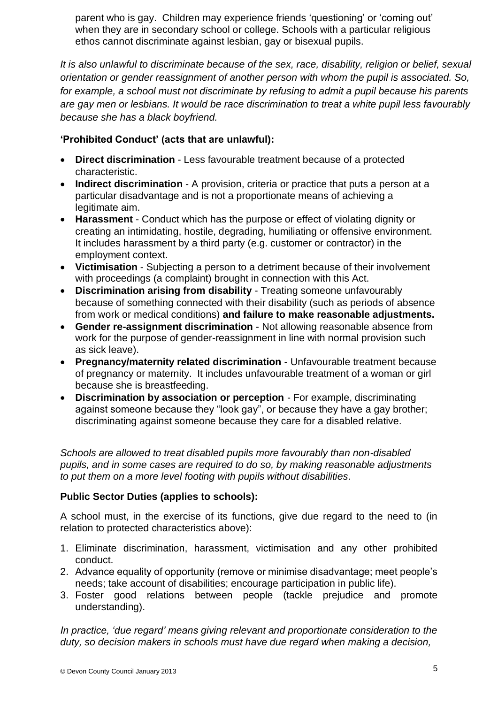parent who is gay. Children may experience friends 'questioning' or 'coming out' when they are in secondary school or college. Schools with a particular religious ethos cannot discriminate against lesbian, gay or bisexual pupils.

*It is also unlawful to discriminate because of the sex, race, disability, religion or belief, sexual orientation or gender reassignment of another person with whom the pupil is associated. So, for example, a school must not discriminate by refusing to admit a pupil because his parents are gay men or lesbians. It would be race discrimination to treat a white pupil less favourably because she has a black boyfriend.*

#### **'Prohibited Conduct' (acts that are unlawful):**

- <span id="page-5-0"></span>• **Direct discrimination** - Less favourable treatment because of a protected characteristic.
- **Indirect discrimination** A provision, criteria or practice that puts a person at a particular disadvantage and is not a proportionate means of achieving a legitimate aim.
- **Harassment**  Conduct which has the purpose or effect of violating dignity or creating an intimidating, hostile, degrading, humiliating or offensive environment. It includes harassment by a third party (e.g. customer or contractor) in the employment context.
- **Victimisation** Subjecting a person to a detriment because of their involvement with proceedings (a complaint) brought in connection with this Act.
- **Discrimination arising from disability**  Treating someone unfavourably because of something connected with their disability (such as periods of absence from work or medical conditions) **and failure to make reasonable adjustments.**
- **Gender re-assignment discrimination**  Not allowing reasonable absence from work for the purpose of gender-reassignment in line with normal provision such as sick leave).
- **Pregnancy/maternity related discrimination**  Unfavourable treatment because of pregnancy or maternity. It includes unfavourable treatment of a woman or girl because she is breastfeeding.
- **Discrimination by association or perception** For example, discriminating against someone because they "look gay", or because they have a gay brother; discriminating against someone because they care for a disabled relative.

*Schools are allowed to treat disabled pupils more favourably than non-disabled pupils, and in some cases are required to do so, by making reasonable adjustments to put them on a more level footing with pupils without disabilities.*

#### <span id="page-5-1"></span>**Public Sector Duties (applies to schools):**

A school must, in the exercise of its functions, give due regard to the need to (in relation to protected characteristics above):

- 1. Eliminate discrimination, harassment, victimisation and any other prohibited conduct.
- 2. Advance equality of opportunity (remove or minimise disadvantage; meet people's needs; take account of disabilities; encourage participation in public life).
- 3. Foster good relations between people (tackle prejudice and promote understanding).

*In practice, 'due regard' means giving relevant and proportionate consideration to the duty, so decision makers in schools must have due regard when making a decision,*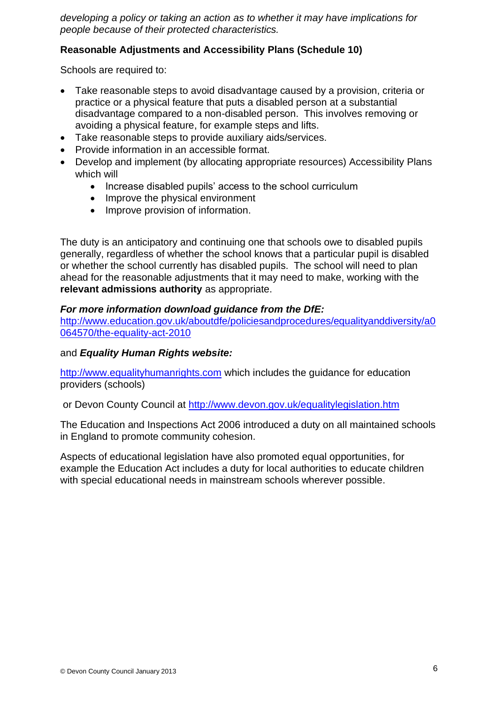*developing a policy or taking an action as to whether it may have implications for people because of their protected characteristics.*

#### <span id="page-6-0"></span>**Reasonable Adjustments and Accessibility Plans (Schedule 10)**

Schools are required to:

- Take reasonable steps to avoid disadvantage caused by a provision, criteria or practice or a physical feature that puts a disabled person at a substantial disadvantage compared to a non-disabled person. This involves removing or avoiding a physical feature, for example steps and lifts.
- Take reasonable steps to provide auxiliary aids/services.
- <span id="page-6-1"></span>• Provide information in an accessible format.
- Develop and implement (by allocating appropriate resources) Accessibility Plans which will
	- Increase disabled pupils' access to the school curriculum
	- Improve the physical environment
	- Improve provision of information.

The duty is an anticipatory and continuing one that schools owe to disabled pupils generally, regardless of whether the school knows that a particular pupil is disabled or whether the school currently has disabled pupils. The school will need to plan ahead for the reasonable adjustments that it may need to make, working with the **relevant admissions authority** as appropriate.

#### *For more information download guidance from the DfE:*

[http://www.education.gov.uk/aboutdfe/policiesandprocedures/equalityanddiversity/a0](http://www.education.gov.uk/aboutdfe/policiesandprocedures/equalityanddiversity/a0064570/the-equality-act-2010) [064570/the-equality-act-2010](http://www.education.gov.uk/aboutdfe/policiesandprocedures/equalityanddiversity/a0064570/the-equality-act-2010) 

#### and *Equality Human Rights website:*

[http://www.equalityhumanrights.com](http://www.equalityhumanrights.com/) which includes the guidance for education providers (schools)

or Devon County Council at<http://www.devon.gov.uk/equalitylegislation.htm>

The Education and Inspections Act 2006 introduced a duty on all maintained schools in England to promote community cohesion.

Aspects of educational legislation have also promoted equal opportunities, for example the Education Act includes a duty for local authorities to educate children with special educational needs in mainstream schools wherever possible.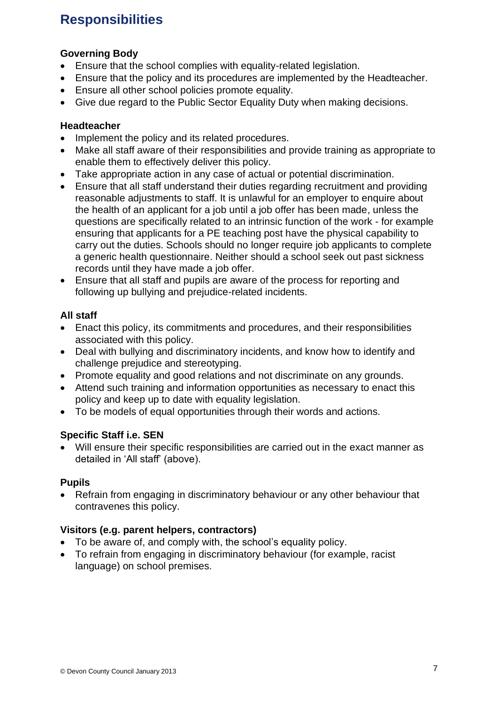### **Responsibilities**

#### **Governing Body**

- Ensure that the school complies with equality-related legislation.
- Ensure that the policy and its procedures are implemented by the Headteacher.
- Ensure all other school policies promote equality.
- Give due regard to the Public Sector Equality Duty when making decisions.

#### **Headteacher**

- Implement the policy and its related procedures.
- Make all staff aware of their responsibilities and provide training as appropriate to enable them to effectively deliver this policy.
- Take appropriate action in any case of actual or potential discrimination.
- <span id="page-7-0"></span>• Ensure that all staff understand their duties regarding recruitment and providing reasonable adjustments to staff. It is unlawful for an employer to enquire about the health of an applicant for a job until a job offer has been made, unless the questions are specifically related to an intrinsic function of the work - for example ensuring that applicants for a PE teaching post have the physical capability to carry out the duties. Schools should no longer require job applicants to complete a generic health questionnaire. Neither should a school seek out past sickness records until they have made a job offer.
- Ensure that all staff and pupils are aware of the process for reporting and following up bullying and prejudice-related incidents.

#### **All staff**

- Enact this policy, its commitments and procedures, and their responsibilities associated with this policy.
- Deal with bullying and discriminatory incidents, and know how to identify and challenge prejudice and stereotyping.
- Promote equality and good relations and not discriminate on any grounds.
- Attend such training and information opportunities as necessary to enact this policy and keep up to date with equality legislation.
- To be models of equal opportunities through their words and actions.

#### **Specific Staff i.e. SEN**

• Will ensure their specific responsibilities are carried out in the exact manner as detailed in 'All staff' (above).

#### **Pupils**

• Refrain from engaging in discriminatory behaviour or any other behaviour that contravenes this policy.

#### **Visitors (e.g. parent helpers, contractors)**

- To be aware of, and comply with, the school's equality policy.
- To refrain from engaging in discriminatory behaviour (for example, racist language) on school premises.